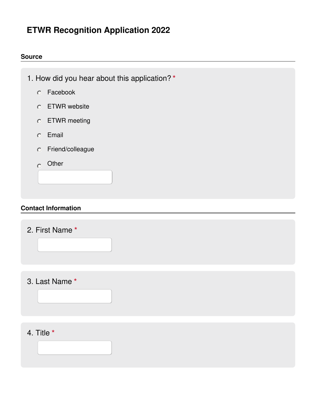# **ETWR Recognition Application 2022**

#### **Source**

- 1. How did you hear about this application? **\***
	- Facebook
	- ETWR website
	- ETWR meeting
	- Email
	- Friend/colleague
	- $O$  Other

#### **Contact Information**

2. First Name **\***

3. Last Name **\***

4. Title **\***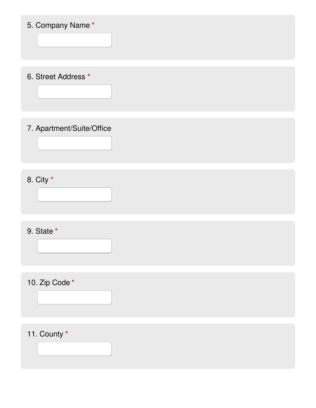# 5. Company Name **\***

6. Street Address **\***

# 7. Apartment/Suite/Office

8. City **\***

# 9. State **\***

10. Zip Code **\***

# 11. County **\***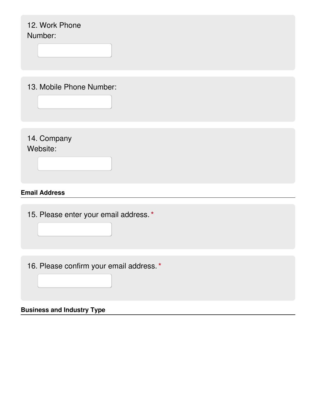# **Email Address** 12. Work Phone Number: 13. Mobile Phone Number: 14. Company Website: 15. Please enter your email address.**\*** 16. Please confirm your email address.**\***

**Business and Industry Type**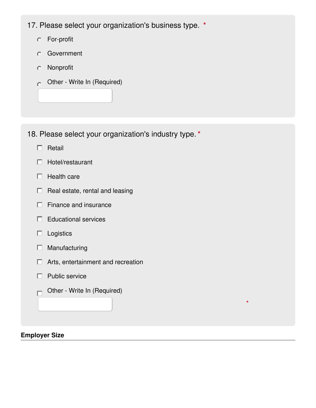17. Please select your organization's business type. **\***

- For-profit
- Government
- Nonprofit
- Other Write In (Required)  $\bigcirc$

- 18. Please select your organization's industry type.**\***
	- $\Box$  Retail
	- $\Box$  Hotel/restaurant
	- $\Box$  Health care
	- $\Box$  Real estate, rental and leasing
	- $\Box$  Finance and insurance
	- $\Box$  Educational services
	- $\Box$  Logistics
	- $\Box$  Manufacturing
	- □ Arts, entertainment and recreation

**\***

- $\Box$  Public service
- Other Write In (Required)  $\Box$

#### **Employer Size**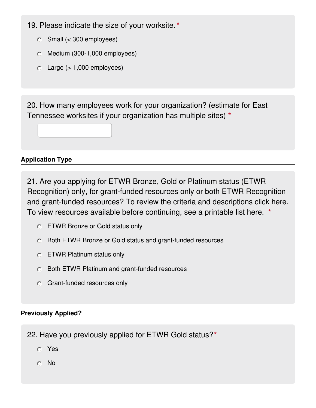- 19. Please indicate the size of your worksite.**\***
	- Small (< 300 employees)
	- Medium (300-1,000 employees)
	- $\circ$  Large ( $> 1,000$  employees)

20. How many employees work for your organization? (estimate for East Tennessee worksites if your organization has multiple sites) **\***

## **Application Type**

21. Are you applying for ETWR Bronze, Gold or Platinum status (ETWR Recognition) only, for grant-funded resources only or both ETWR Recognition and grant-funded resources? To review the criteria and descriptions click here. To view resources available before continuing, see a printable list here. **\***

- ETWR Bronze or Gold status only
- Both ETWR Bronze or Gold status and grant-funded resources
- ETWR Platinum status only
- Both ETWR Platinum and grant-funded resources
- Grant-funded resources only

## **Previously Applied?**

22. Have you previously applied for ETWR Gold status?**\***

- Yes
- No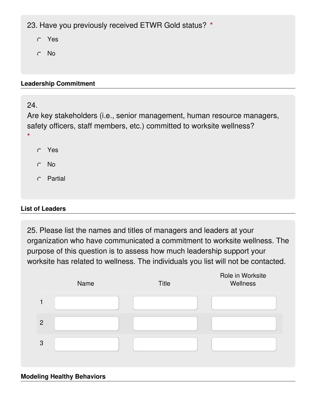23. Have you previously received ETWR Gold status? **\***

- Yes
- No

#### **Leadership Commitment**

## 24.

Are key stakeholders (i.e., senior management, human resource managers, safety officers, staff members, etc.) committed to worksite wellness? **\***

- Yes
- No
- Partial

## **List of Leaders**

25. Please list the names and titles of managers and leaders at your organization who have communicated a commitment to worksite wellness. The purpose of this question is to assess how much leadership support your worksite has related to wellness. The individuals you list will not be contacted.



#### **Modeling Healthy Behaviors**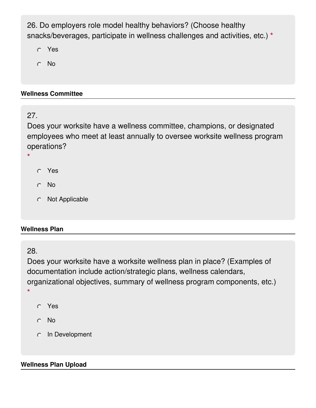26. Do employers role model healthy behaviors? (Choose healthy snacks/beverages, participate in wellness challenges and activities, etc.) **\***

Yes

No

## **Wellness Committee**

## 27.

Does your worksite have a wellness committee, champions, or designated employees who meet at least annually to oversee worksite wellness program operations?

**\***

- Yes
- No
- Not Applicable

## **Wellness Plan**

## 28.

Does your worksite have a worksite wellness plan in place? (Examples of documentation include action/strategic plans, wellness calendars, organizational objectives, summary of wellness program components, etc.) **\***

- Yes
- No
- o In Development

## **Wellness Plan Upload**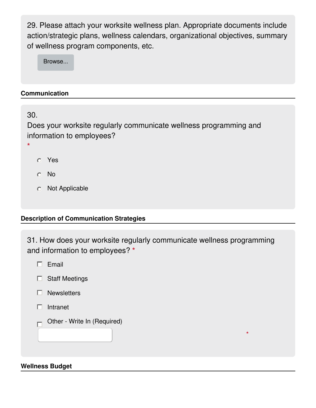29. Please attach your worksite wellness plan. Appropriate documents include action/strategic plans, wellness calendars, organizational objectives, summary of wellness program components, etc.

Browse...

## **Communication**

30.

Does your worksite regularly communicate wellness programming and information to employees?

- **\***
- Yes
- No
- Not Applicable

## **Description of Communication Strategies**

31. How does your worksite regularly communicate wellness programming and information to employees? **\***

**\***

- $\Box$  Email
- $\Box$  Staff Meetings
- $\Box$  Newsletters
- $\Box$  Intranet
- Other Write In (Required)

#### **Wellness Budget**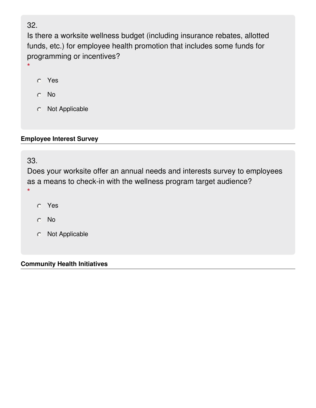## 32.

**\***

Is there a worksite wellness budget (including insurance rebates, allotted funds, etc.) for employee health promotion that includes some funds for programming or incentives?

- Yes
- No
- Not Applicable

#### **Employee Interest Survey**

33.

Does your worksite offer an annual needs and interests survey to employees as a means to check-in with the wellness program target audience? **\***

- Yes
- No
- Not Applicable

#### **Community Health Initiatives**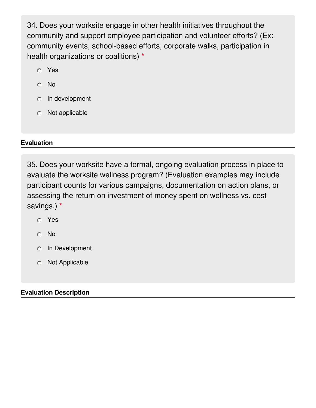34. Does your worksite engage in other health initiatives throughout the community and support employee participation and volunteer efforts? (Ex: community events, school-based efforts, corporate walks, participation in health organizations or coalitions) **\***

- Yes
- No
- $\circ$  In development
- Not applicable

## **Evaluation**

35. Does your worksite have a formal, ongoing evaluation process in place to evaluate the worksite wellness program? (Evaluation examples may include participant counts for various campaigns, documentation on action plans, or assessing the return on investment of money spent on wellness vs. cost savings.) **\***

- Yes
- No
- In Development
- Not Applicable

## **Evaluation Description**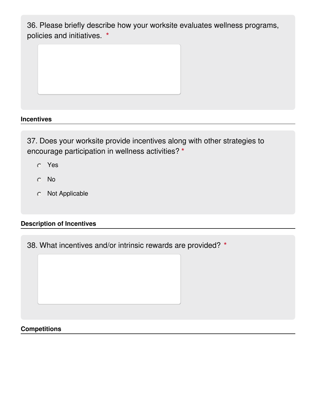36. Please briefly describe how your worksite evaluates wellness programs, policies and initiatives. **\***

#### **Incentives**

37. Does your worksite provide incentives along with other strategies to encourage participation in wellness activities? **\***

- Yes
- No
- Not Applicable

#### **Description of Incentives**

38. What incentives and/or intrinsic rewards are provided? **\***

#### **Competitions**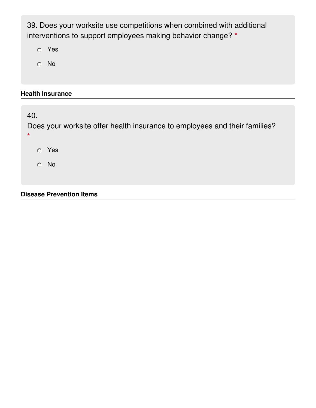39. Does your worksite use competitions when combined with additional interventions to support employees making behavior change? **\***

Yes

No

#### **Health Insurance**

40. Does your worksite offer health insurance to employees and their families? **\*** Yes No

#### **Disease Prevention Items**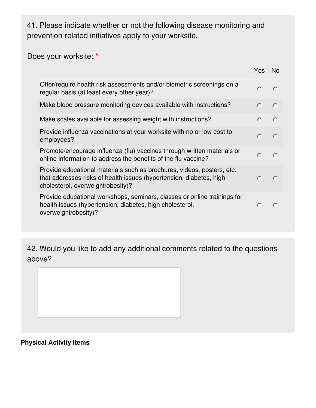41. Please indicate whether or not the following disease monitoring and prevention-related initiatives apply to your worksite.

Does your worksite: **\***

|                                                                                                                                                                                    | Yes        | No.       |
|------------------------------------------------------------------------------------------------------------------------------------------------------------------------------------|------------|-----------|
| Offer/require health risk assessments and/or biometric screenings on a<br>regular basis (at least every other year)?                                                               | $\circ$    | $\circ$   |
| Make blood pressure monitoring devices available with instructions?                                                                                                                | $\circ$    | $\circ$   |
| Make scales available for assessing weight with instructions?                                                                                                                      | $\circ$    | $\circ$   |
| Provide influenza vaccinations at your worksite with no or low cost to<br>employees?                                                                                               | $\circ$    | $\circ$   |
| Promote/encourage influenza (flu) vaccines through written materials or<br>online information to address the benefits of the flu vaccine?                                          | $\bigcirc$ | $\circ$   |
| Provide educational materials such as brochures, videos, posters, etc.<br>that addresses risks of health issues (hypertension, diabetes, high<br>cholesterol, overweight/obesity)? | $\bigcap$  | $\bigcap$ |
| Provide educational workshops, seminars, classes or online trainings for<br>health issues (hypertension, diabetes, high cholesterol,<br>overweight/obesity)?                       | $\bigcap$  | $\subset$ |

42. Would you like to add any additional comments related to the questions above?

#### **Physical Activity Items**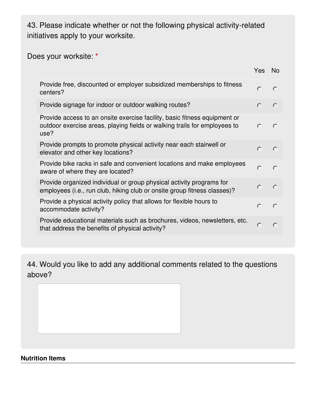43. Please indicate whether or not the following physical activity-related initiatives apply to your worksite.

# Does your worksite: **\***

|                                                                                                                                                                | Yes        | No.                |
|----------------------------------------------------------------------------------------------------------------------------------------------------------------|------------|--------------------|
| Provide free, discounted or employer subsidized memberships to fitness<br>centers?                                                                             | $\circ$    | $\circ$            |
| Provide signage for indoor or outdoor walking routes?                                                                                                          | $\circ$    | $\circ$            |
| Provide access to an onsite exercise facility, basic fitness equipment or<br>outdoor exercise areas, playing fields or walking trails for employees to<br>use? | $\circ$    | $\circ$            |
| Provide prompts to promote physical activity near each stairwell or<br>elevator and other key locations?                                                       | $\bigcirc$ | $\circ$            |
| Provide bike racks in safe and convenient locations and make employees<br>aware of where they are located?                                                     | $\bigcirc$ | $\bigcap$          |
| Provide organized individual or group physical activity programs for<br>employees (i.e., run club, hiking club or onsite group fitness classes)?               | $\circ$    | $\overline{\circ}$ |
| Provide a physical activity policy that allows for flexible hours to<br>accommodate activity?                                                                  | $\bigcap$  | $\bigcirc$         |
| Provide educational materials such as brochures, videos, newsletters, etc.<br>that address the benefits of physical activity?                                  | $\circ$    | $\bigcap$          |
|                                                                                                                                                                |            |                    |

44. Would you like to add any additional comments related to the questions above?

#### **Nutrition Items**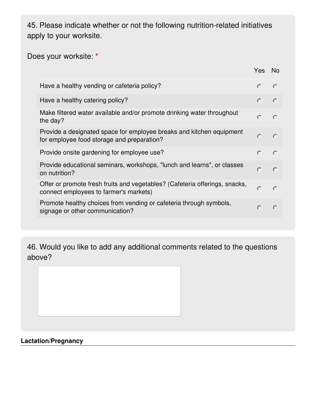45. Please indicate whether or not the following nutrition-related initiatives apply to your worksite.

# Does your worksite: **\***

|                                                                                                                       | Yes        | - No      |
|-----------------------------------------------------------------------------------------------------------------------|------------|-----------|
| Have a healthy vending or cafeteria policy?                                                                           | $\circ$    | $\circ$   |
| Have a healthy catering policy?                                                                                       | $\circ$    | $\circ$   |
| Make filtered water available and/or promote drinking water throughout<br>the day?                                    | $\circ$    | $\circ$   |
| Provide a designated space for employee breaks and kitchen equipment<br>for employee food storage and preparation?    | $\circ$    | $\circ$   |
| Provide onsite gardening for employee use?                                                                            | $\bigcap$  | $\circ$   |
| Provide educational seminars, workshops, "lunch and learns", or classes<br>on nutrition?                              | $\circ$    | $\circ$   |
| Offer or promote fresh fruits and vegetables? (Cafeteria offerings, snacks,<br>connect employees to farmer's markets) | $\circ$    | $\bigcap$ |
| Promote healthy choices from vending or cafeteria through symbols,<br>signage or other communication?                 | $\bigcirc$ | $\circ$   |

46. Would you like to add any additional comments related to the questions above?

## **Lactation/Pregnancy**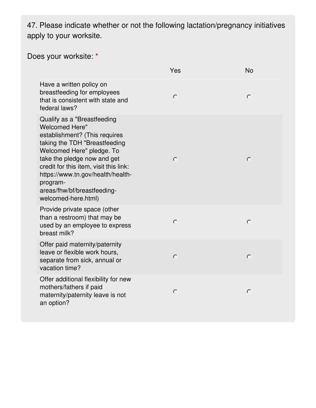47. Please indicate whether or not the following lactation/pregnancy initiatives apply to your worksite.

Does your worksite: **\***

|                                                                                                                                                                                                                                                                                                                                     | Yes     | <b>No</b> |
|-------------------------------------------------------------------------------------------------------------------------------------------------------------------------------------------------------------------------------------------------------------------------------------------------------------------------------------|---------|-----------|
| Have a written policy on<br>breastfeeding for employees<br>that is consistent with state and<br>federal laws?                                                                                                                                                                                                                       | $\circ$ | $\circ$   |
| Qualify as a "Breastfeeding<br><b>Welcomed Here"</b><br>establishment? (This requires<br>taking the TDH "Breastfeeding<br>Welcomed Here" pledge. To<br>take the pledge now and get<br>credit for this item, visit this link:<br>https://www.tn.gov/health/health-<br>program-<br>areas/fhw/bf/breastfeeding-<br>welcomed-here.html) | $\circ$ | $\circ$   |
| Provide private space (other<br>than a restroom) that may be<br>used by an employee to express<br>breast milk?                                                                                                                                                                                                                      | $\circ$ | $\circ$   |
| Offer paid maternity/paternity<br>leave or flexible work hours,<br>separate from sick, annual or<br>vacation time?                                                                                                                                                                                                                  | $\circ$ | $\circ$   |
| Offer additional flexibility for new<br>mothers/fathers if paid<br>maternity/paternity leave is not<br>an option?                                                                                                                                                                                                                   | $\circ$ | $\circ$   |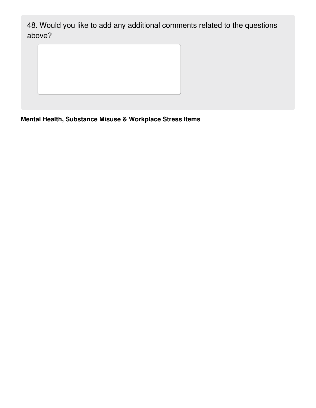48. Would you like to add any additional comments related to the questions above?

**Mental Health, Substance Misuse & Workplace Stress Items**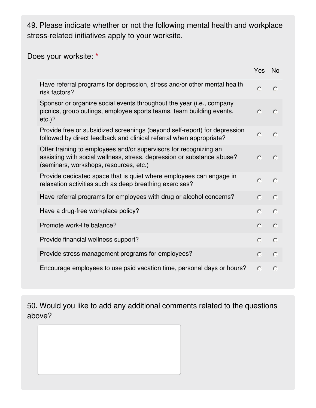49. Please indicate whether or not the following mental health and workplace stress-related initiatives apply to your worksite.

Does your worksite: **\***

|                                                                                                                                                                                       | Yes        | <b>No</b>  |
|---------------------------------------------------------------------------------------------------------------------------------------------------------------------------------------|------------|------------|
| Have referral programs for depression, stress and/or other mental health<br>risk factors?                                                                                             | $\bigcirc$ | $\bigcap$  |
| Sponsor or organize social events throughout the year (i.e., company<br>picnics, group outings, employee sports teams, team building events,<br>$etc.$ )?                             | $\circ$    | $\circ$    |
| Provide free or subsidized screenings (beyond self-report) for depression<br>followed by direct feedback and clinical referral when appropriate?                                      | $\circ$    | $\circ$    |
| Offer training to employees and/or supervisors for recognizing an<br>assisting with social wellness, stress, depression or substance abuse?<br>(seminars, workshops, resources, etc.) | $\bigcirc$ | $\circ$    |
| Provide dedicated space that is quiet where employees can engage in<br>relaxation activities such as deep breathing exercises?                                                        | $\circ$    | $\circ$    |
| Have referral programs for employees with drug or alcohol concerns?                                                                                                                   | $\circ$    | $\circ$    |
| Have a drug-free workplace policy?                                                                                                                                                    | $\circ$    | $\bigcirc$ |
| Promote work-life balance?                                                                                                                                                            | $\circ$    | $\bigcap$  |
| Provide financial wellness support?                                                                                                                                                   | $\bigcirc$ | $\circ$    |
| Provide stress management programs for employees?                                                                                                                                     | $\bigcirc$ | $\circ$    |
| Encourage employees to use paid vacation time, personal days or hours?                                                                                                                | $\bigcirc$ | $\bigcap$  |

50. Would you like to add any additional comments related to the questions above?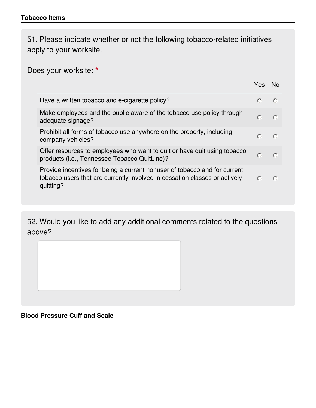51. Please indicate whether or not the following tobacco-related initiatives apply to your worksite.

Does your worksite: **\***

|                                                                                                                                                                      | Yes.      | N∩        |
|----------------------------------------------------------------------------------------------------------------------------------------------------------------------|-----------|-----------|
| Have a written tobacco and e-cigarette policy?                                                                                                                       | $\bigcap$ | $\bigcap$ |
| Make employees and the public aware of the tobacco use policy through<br>adequate signage?                                                                           | $\cap$    | $\bigcap$ |
| Prohibit all forms of tobacco use anywhere on the property, including<br>company vehicles?                                                                           |           | $\bigcap$ |
| Offer resources to employees who want to quit or have quit using tobacco<br>products (i.e., Tennessee Tobacco QuitLine)?                                             | $\bigcap$ |           |
| Provide incentives for being a current nonuser of tobacco and for current<br>tobacco users that are currently involved in cessation classes or actively<br>quitting? | $\bigcap$ |           |

52. Would you like to add any additional comments related to the questions above?

## **Blood Pressure Cuff and Scale**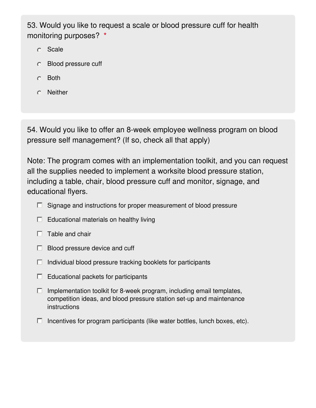53. Would you like to request a scale or blood pressure cuff for health monitoring purposes? **\***

- Scale
- Blood pressure cuff
- Both
- Neither

54. Would you like to offer an 8-week employee wellness program on blood pressure self management? (If so, check all that apply)

Note: The program comes with an implementation toolkit, and you can request all the supplies needed to implement a worksite blood pressure station, including a table, chair, blood pressure cuff and monitor, signage, and educational flyers.

- $\Box$  Signage and instructions for proper measurement of blood pressure
- $\Box$  Educational materials on healthy living
- $\Box$  Table and chair
- $\Box$  Blood pressure device and cuff
- $\Box$  Individual blood pressure tracking booklets for participants
- $\Box$  Educational packets for participants
- $\Box$  Implementation toolkit for 8-week program, including email templates, competition ideas, and blood pressure station set-up and maintenance instructions
- $\Box$  Incentives for program participants (like water bottles, lunch boxes, etc).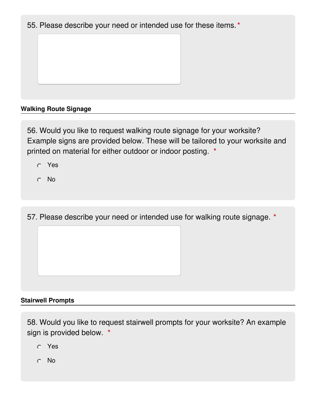55. Please describe your need or intended use for these items.**\***

## **Walking Route Signage**

56. Would you like to request walking route signage for your worksite? Example signs are provided below. These will be tailored to your worksite and printed on material for either outdoor or indoor posting. **\***

- Yes
- No

57. Please describe your need or intended use for walking route signage. **\***

#### **Stairwell Prompts**

58. Would you like to request stairwell prompts for your worksite? An example sign is provided below. **\***

- Yes
- No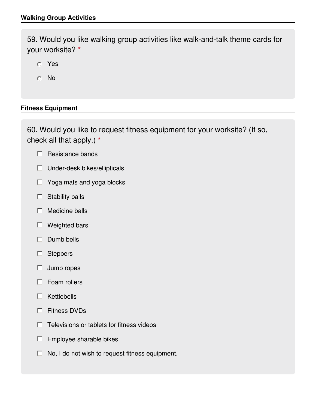59. Would you like walking group activities like walk-and-talk theme cards for your worksite? **\***

- Yes
- No

## **Fitness Equipment**

60. Would you like to request fitness equipment for your worksite? (If so, check all that apply.) **\***

- $\Box$  Resistance bands
- $\Box$  Under-desk bikes/ellipticals
- $\Box$  Yoga mats and yoga blocks
- $\Box$  Stability balls
- $\Box$  Medicine balls
- □ Weighted bars
- $\Box$  Dumb bells
- □ Steppers
- $\Box$  Jump ropes
- $\Box$  Foam rollers
- $\Box$  Kettlebells
- Fitness DVDs D.
- Televisions or tablets for fitness videos П.
- $\Box$  Employee sharable bikes
- $\Box$  No, I do not wish to request fitness equipment.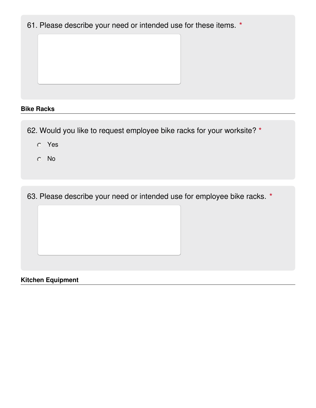61. Please describe your need or intended use for these items. **\***

#### **Bike Racks**

62. Would you like to request employee bike racks for your worksite? **\***

- Yes
- No

63. Please describe your need or intended use for employee bike racks. **\***

**Kitchen Equipment**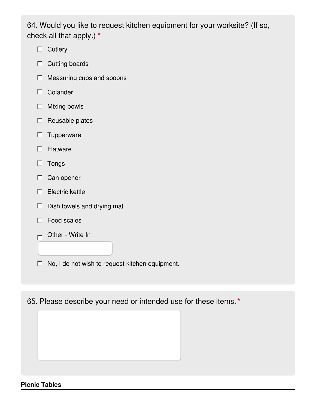64. Would you like to request kitchen equipment for your worksite? (If so, check all that apply.) **\***

- $\Box$  Cutlery
- $\Box$  Cutting boards
- $\Box$  Measuring cups and spoons
- $\Box$  Colander
- $\Box$  Mixing bowls
- $\Box$  Reusable plates
- $\Box$  Tupperware
- $\Box$  Flatware
- $\Box$  Tongs
- $\Box$  Can opener
- $\Box$  Electric kettle
- $\Box$  Dish towels and drying mat
- $\Box$  Food scales
- Other Write In П

 $\Box$  No, I do not wish to request kitchen equipment.

65. Please describe your need or intended use for these items.**\***

#### **Picnic Tables**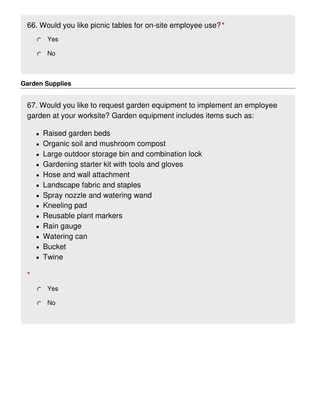66. Would you like picnic tables for on-site employee use? **\***

- Yes
- No

## **Garden Supplies**

67. Would you like to request garden equipment to implement an employee garden at your worksite? Garden equipment includes items such as:

- Raised garden beds
- Organic soil and mushroom compost
- Large outdoor storage bin and combination lock
- Gardening starter kit with tools and gloves
- Hose and wall attachment
- Landscape fabric and staples
- Spray nozzle and watering wand
- Kneeling pad
- Reusable plant markers
- Rain gauge
- Watering can
- Bucket
- Twine
- **\***
- Yes
- No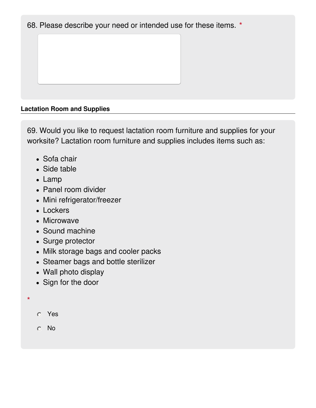68. Please describe your need or intended use for these items. **\***

## **Lactation Room and Supplies**

69. Would you like to request lactation room furniture and supplies for your worksite? Lactation room furniture and supplies includes items such as:

- Sofa chair
- Side table
- Lamp
- Panel room divider
- Mini refrigerator/freezer
- Lockers
- Microwave
- Sound machine
- Surge protector
- Milk storage bags and cooler packs
- Steamer bags and bottle sterilizer
- Wall photo display
- Sign for the door
- **\***
- Yes
- No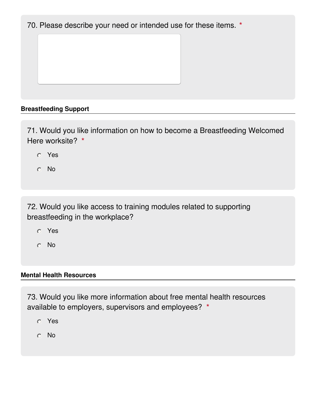70. Please describe your need or intended use for these items. **\***

## **Breastfeeding Support**

71. Would you like information on how to become a Breastfeeding Welcomed Here worksite? **\***

- Yes
- No

72. Would you like access to training modules related to supporting breastfeeding in the workplace?

- Yes
- No

#### **Mental Health Resources**

73. Would you like more information about free mental health resources available to employers, supervisors and employees? **\***

- Yes
- No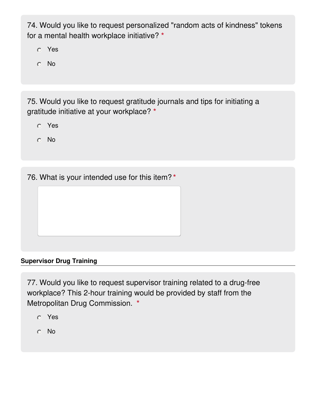74. Would you like to request personalized "random acts of kindness" tokens for a mental health workplace initiative? **\***

- Yes
- No

75. Would you like to request gratitude journals and tips for initiating a gratitude initiative at your workplace? **\***

- Yes
- No

76. What is your intended use for this item? **\***

#### **Supervisor Drug Training**

77. Would you like to request supervisor training related to a drug-free workplace? This 2-hour training would be provided by staff from the Metropolitan Drug Commission. **\***

- Yes
- No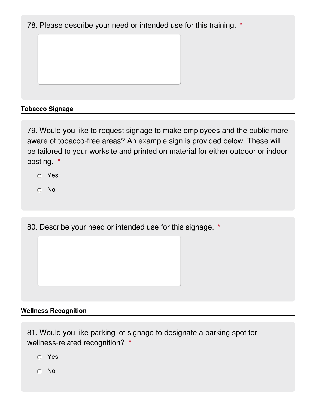78. Please describe your need or intended use for this training. **\***

## **Tobacco Signage**

79. Would you like to request signage to make employees and the public more aware of tobacco-free areas? An example sign is provided below. These will be tailored to your worksite and printed on material for either outdoor or indoor posting. **\***

- Yes
- No

80. Describe your need or intended use for this signage. **\***

#### **Wellness Recognition**

81. Would you like parking lot signage to designate a parking spot for wellness-related recognition? **\***

- Yes
- No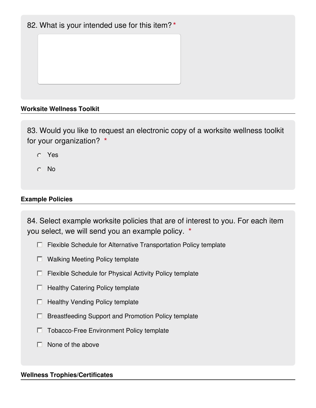## 82. What is your intended use for this item? **\***

#### **Worksite Wellness Toolkit**

83. Would you like to request an electronic copy of a worksite wellness toolkit for your organization? **\***

- Yes
- No

#### **Example Policies**

84. Select example worksite policies that are of interest to you. For each item you select, we will send you an example policy. **\***

- $\Box$  Flexible Schedule for Alternative Transportation Policy template
- $\Box$  Walking Meeting Policy template
- $\Box$  Flexible Schedule for Physical Activity Policy template
- $\Box$  Healthy Catering Policy template
- $\Box$  Healthy Vending Policy template
- $\Box$  Breastfeeding Support and Promotion Policy template
- □ Tobacco-Free Environment Policy template
- $\Box$  None of the above

#### **Wellness Trophies/Certificates**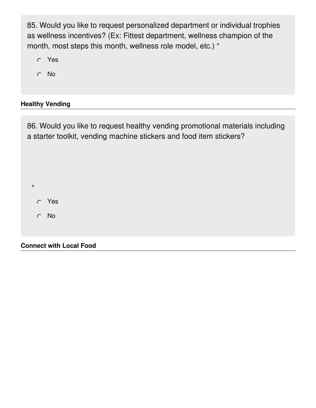85. Would you like to request personalized department or individual trophies as wellness incentives? (Ex: Fittest department, wellness champion of the month, most steps this month, wellness role model, etc.) **\***

- Yes
- No

## **Healthy Vending**

86. Would you like to request healthy vending promotional materials including a starter toolkit, vending machine stickers and food item stickers?

Yes No

**\***

**Connect with Local Food**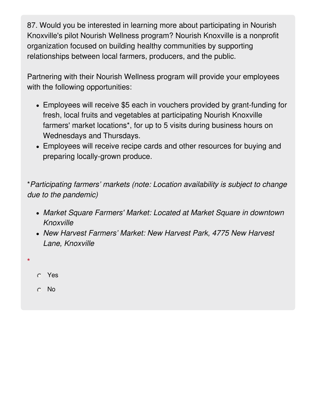87. Would you be interested in learning more about participating in Nourish Knoxville's pilot Nourish Wellness program? Nourish Knoxville is a nonprofit organization focused on building healthy communities by supporting relationships between local farmers, producers, and the public.

Partnering with their Nourish Wellness program will provide your employees with the following opportunities:

- Employees will receive \$5 each in vouchers provided by grant-funding for fresh, local fruits and vegetables at participating Nourish Knoxville farmers' market locations\*, for up to 5 visits during business hours on Wednesdays and Thursdays.
- Employees will receive recipe cards and other resources for buying and preparing locally-grown produce.

\**Participating farmers' markets (note: Location availability is subject to change due to the pandemic)*

- *Market Square Farmers' Market: Located at Market Square in downtown Knoxville*
- *New Harvest Farmers' Market: New Harvest Park, 4775 New Harvest Lane, Knoxville*
- Yes

**\***

No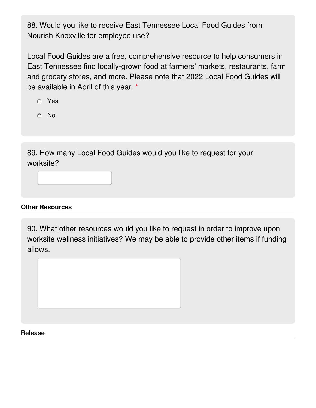88. Would you like to receive East Tennessee Local Food Guides from Nourish Knoxville for employee use?

Local Food Guides are a free, comprehensive resource to help consumers in East Tennessee find locally-grown food at farmers' markets, restaurants, farm and grocery stores, and more. Please note that 2022 Local Food Guides will be available in April of this year. **\***

- Yes
- No

89. How many Local Food Guides would you like to request for your worksite?

## **Other Resources**

90. What other resources would you like to request in order to improve upon worksite wellness initiatives? We may be able to provide other items if funding allows.



#### **Release**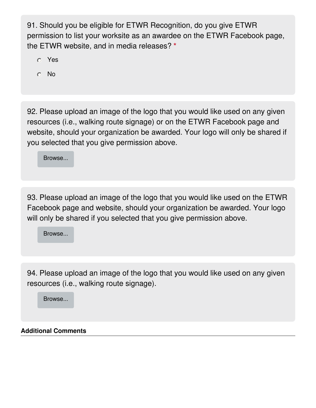91. Should you be eligible for ETWR Recognition, do you give ETWR permission to list your worksite as an awardee on the ETWR Facebook page, the ETWR website, and in media releases? **\***

- Yes
- No

92. Please upload an image of the logo that you would like used on any given resources (i.e., walking route signage) or on the ETWR Facebook page and website, should your organization be awarded. Your logo will only be shared if you selected that you give permission above.

Browse...

93. Please upload an image of the logo that you would like used on the ETWR Facebook page and website, should your organization be awarded. Your logo will only be shared if you selected that you give permission above.

Browse...

94. Please upload an image of the logo that you would like used on any given resources (i.e., walking route signage).

Browse...

#### **Additional Comments**